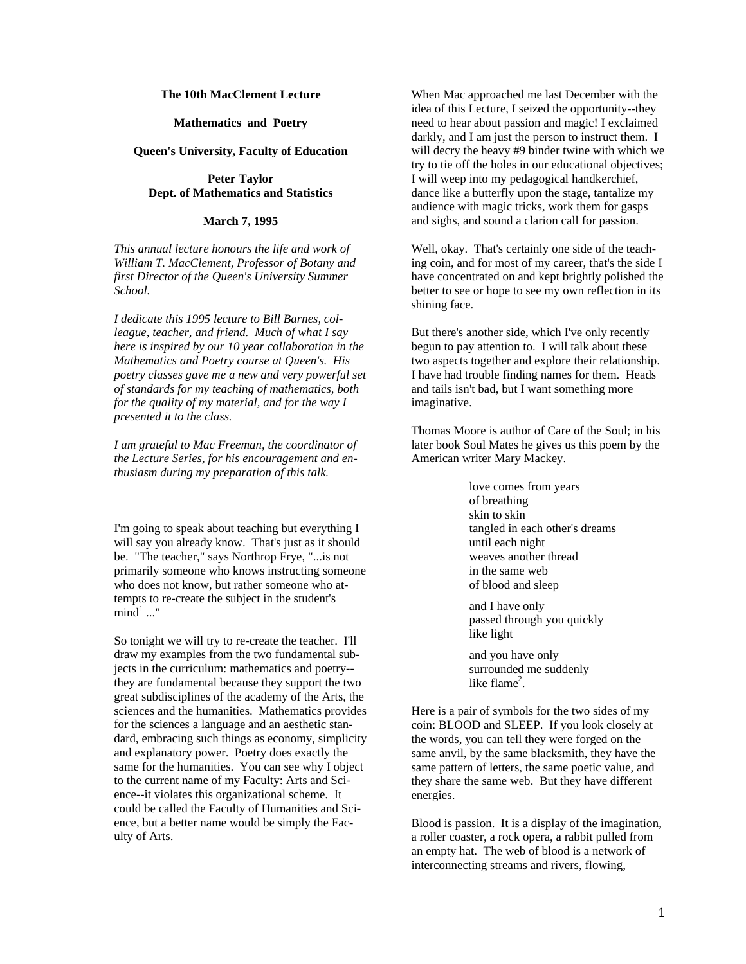## **The 10th MacClement Lecture**

**Mathematics and Poetry**

#### **Queen's University, Faculty of Education**

**Peter Taylor Dept. of Mathematics and Statistics** 

### **March 7, 1995**

*This annual lecture honours the life and work of William T. MacClement, Professor of Botany and first Director of the Queen's University Summer School.* 

*I dedicate this 1995 lecture to Bill Barnes, colleague, teacher, and friend. Much of what I say here is inspired by our 10 year collaboration in the Mathematics and Poetry course at Queen's. His poetry classes gave me a new and very powerful set of standards for my teaching of mathematics, both for the quality of my material, and for the way I presented it to the class.* 

*I am grateful to Mac Freeman, the coordinator of the Lecture Series, for his encouragement and enthusiasm during my preparation of this talk.* 

I'm going to speak about teaching but everything I will say you already know. That's just as it should be. "The teacher," says Northrop Frye, "...is not primarily someone who knows instructing someone who does not know, but rather someone who attempts to re-create the subject in the student's  $mid<sup>1</sup>$ ..."

So tonight we will try to re-create the teacher. I'll draw my examples from the two fundamental subjects in the curriculum: mathematics and poetry- they are fundamental because they support the two great subdisciplines of the academy of the Arts, the sciences and the humanities. Mathematics provides for the sciences a language and an aesthetic standard, embracing such things as economy, simplicity and explanatory power. Poetry does exactly the same for the humanities. You can see why I object to the current name of my Faculty: Arts and Science--it violates this organizational scheme. It could be called the Faculty of Humanities and Science, but a better name would be simply the Faculty of Arts.

When Mac approached me last December with the idea of this Lecture, I seized the opportunity--they need to hear about passion and magic! I exclaimed darkly, and I am just the person to instruct them. I will decry the heavy #9 binder twine with which we try to tie off the holes in our educational objectives; I will weep into my pedagogical handkerchief, dance like a butterfly upon the stage, tantalize my audience with magic tricks, work them for gasps and sighs, and sound a clarion call for passion.

Well, okay. That's certainly one side of the teaching coin, and for most of my career, that's the side I have concentrated on and kept brightly polished the better to see or hope to see my own reflection in its shining face.

But there's another side, which I've only recently begun to pay attention to. I will talk about these two aspects together and explore their relationship. I have had trouble finding names for them. Heads and tails isn't bad, but I want something more imaginative.

Thomas Moore is author of Care of the Soul; in his later book Soul Mates he gives us this poem by the American writer Mary Mackey.

> love comes from years of breathing skin to skin tangled in each other's dreams until each night weaves another thread in the same web of blood and sleep

 and I have only passed through you quickly like light

 and you have only surrounded me suddenly like flame<sup>2</sup>.

Here is a pair of symbols for the two sides of my coin: BLOOD and SLEEP. If you look closely at the words, you can tell they were forged on the same anvil, by the same blacksmith, they have the same pattern of letters, the same poetic value, and they share the same web. But they have different energies.

Blood is passion. It is a display of the imagination, a roller coaster, a rock opera, a rabbit pulled from an empty hat. The web of blood is a network of interconnecting streams and rivers, flowing,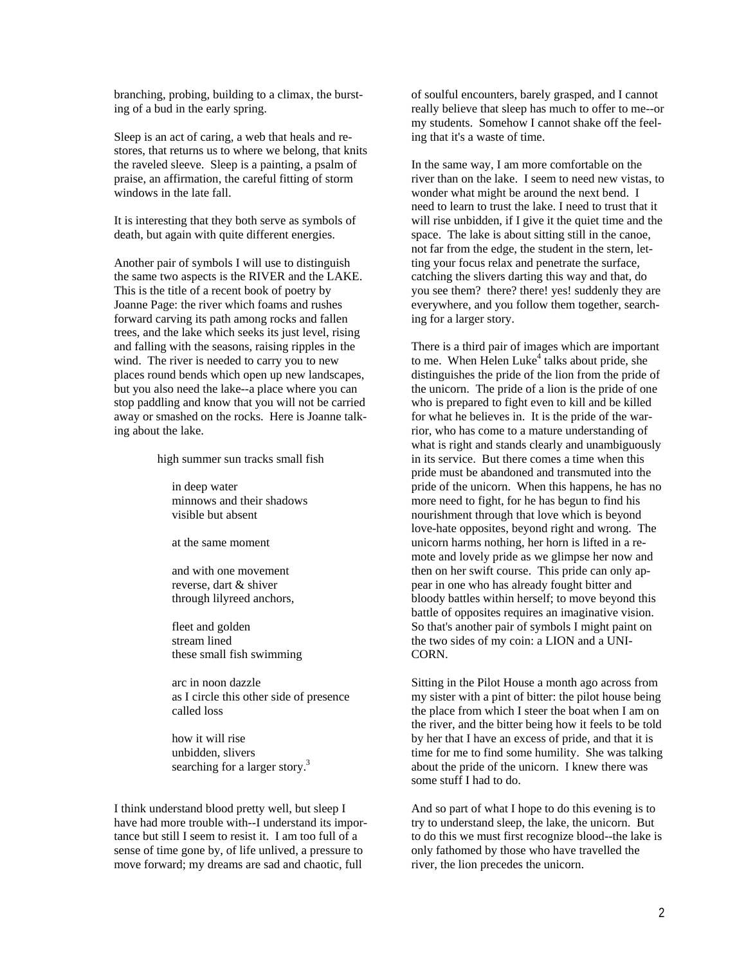branching, probing, building to a climax, the bursting of a bud in the early spring.

Sleep is an act of caring, a web that heals and restores, that returns us to where we belong, that knits the raveled sleeve. Sleep is a painting, a psalm of praise, an affirmation, the careful fitting of storm windows in the late fall.

It is interesting that they both serve as symbols of death, but again with quite different energies.

Another pair of symbols I will use to distinguish the same two aspects is the RIVER and the LAKE. This is the title of a recent book of poetry by Joanne Page: the river which foams and rushes forward carving its path among rocks and fallen trees, and the lake which seeks its just level, rising and falling with the seasons, raising ripples in the wind. The river is needed to carry you to new places round bends which open up new landscapes, but you also need the lake--a place where you can stop paddling and know that you will not be carried away or smashed on the rocks. Here is Joanne talking about the lake.

high summer sun tracks small fish

 in deep water minnows and their shadows visible but absent

at the same moment

 and with one movement reverse, dart & shiver through lilyreed anchors,

 fleet and golden stream lined these small fish swimming

 arc in noon dazzle as I circle this other side of presence called loss

 how it will rise unbidden, slivers searching for a larger story.<sup>3</sup>

I think understand blood pretty well, but sleep I have had more trouble with--I understand its importance but still I seem to resist it. I am too full of a sense of time gone by, of life unlived, a pressure to move forward; my dreams are sad and chaotic, full

of soulful encounters, barely grasped, and I cannot really believe that sleep has much to offer to me--or my students. Somehow I cannot shake off the feeling that it's a waste of time.

In the same way, I am more comfortable on the river than on the lake. I seem to need new vistas, to wonder what might be around the next bend. I need to learn to trust the lake. I need to trust that it will rise unbidden, if I give it the quiet time and the space. The lake is about sitting still in the canoe, not far from the edge, the student in the stern, letting your focus relax and penetrate the surface, catching the slivers darting this way and that, do you see them? there? there! yes! suddenly they are everywhere, and you follow them together, searching for a larger story.

There is a third pair of images which are important to me. When Helen Luke<sup>4</sup> talks about pride, she distinguishes the pride of the lion from the pride of the unicorn. The pride of a lion is the pride of one who is prepared to fight even to kill and be killed for what he believes in. It is the pride of the warrior, who has come to a mature understanding of what is right and stands clearly and unambiguously in its service. But there comes a time when this pride must be abandoned and transmuted into the pride of the unicorn. When this happens, he has no more need to fight, for he has begun to find his nourishment through that love which is beyond love-hate opposites, beyond right and wrong. The unicorn harms nothing, her horn is lifted in a remote and lovely pride as we glimpse her now and then on her swift course. This pride can only appear in one who has already fought bitter and bloody battles within herself; to move beyond this battle of opposites requires an imaginative vision. So that's another pair of symbols I might paint on the two sides of my coin: a LION and a UNI-CORN.

Sitting in the Pilot House a month ago across from my sister with a pint of bitter: the pilot house being the place from which I steer the boat when I am on the river, and the bitter being how it feels to be told by her that I have an excess of pride, and that it is time for me to find some humility. She was talking about the pride of the unicorn. I knew there was some stuff I had to do.

And so part of what I hope to do this evening is to try to understand sleep, the lake, the unicorn. But to do this we must first recognize blood--the lake is only fathomed by those who have travelled the river, the lion precedes the unicorn.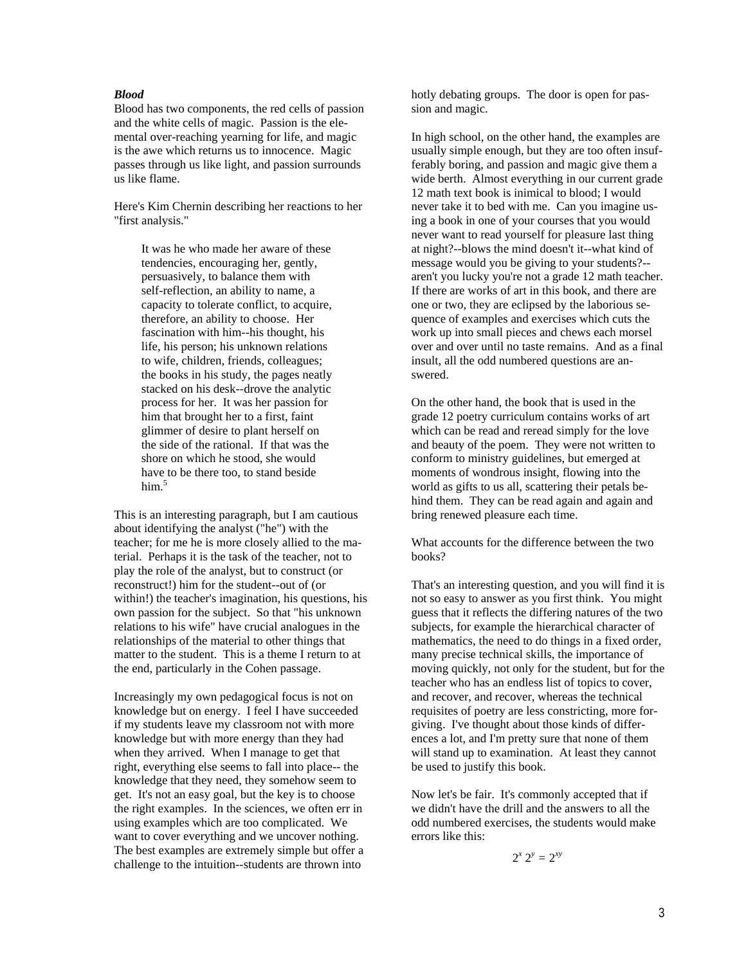# *Blood*

Blood has two components, the red cells of passion and the white cells of magic. Passion is the elemental over-reaching yearning for life, and magic is the awe which returns us to innocence. Magic passes through us like light, and passion surrounds us like flame.

Here's Kim Chernin describing her reactions to her "first analysis."

> It was he who made her aware of these tendencies, encouraging her, gently, persuasively, to balance them with self-reflection, an ability to name, a capacity to tolerate conflict, to acquire, therefore, an ability to choose. Her fascination with him--his thought, his life, his person; his unknown relations to wife, children, friends, colleagues; the books in his study, the pages neatly stacked on his desk--drove the analytic process for her. It was her passion for him that brought her to a first, faint glimmer of desire to plant herself on the side of the rational. If that was the shore on which he stood, she would have to be there too, to stand beside him. 5

This is an interesting paragraph, but I am cautious about identifying the analyst ("he") with the teacher; for me he is more closely allied to the material. Perhaps it is the task of the teacher, not to play the role of the analyst, but to construct (or reconstruct!) him for the student--out of (or within!) the teacher's imagination, his questions, his own passion for the subject. So that "his unknown relations to his wife" have crucial analogues in the relationships of the material to other things that matter to the student. This is a theme I return to at the end, particularly in the Cohen passage.

Increasingly my own pedagogical focus is not on knowledge but on energy. I feel I have succeeded if my students leave my classroom not with more knowledge but with more energy than they had when they arrived. When I manage to get that right, everything else seems to fall into place-- the knowledge that they need, they somehow seem to get. It's not an easy goal, but the key is to choose the right examples. In the sciences, we often err in using examples which are too complicated. We want to cover everything and we uncover nothing. The best examples are extremely simple but offer a challenge to the intuition--students are thrown into

hotly debating groups. The door is open for passion and magic.

In high school, on the other hand, the examples are usually simple enough, but they are too often insufferably boring, and passion and magic give them a wide berth. Almost everything in our current grade 12 math text book is inimical to blood; I would never take it to bed with me. Can you imagine using a book in one of your courses that you would never want to read yourself for pleasure last thing at night?--blows the mind doesn't it--what kind of message would you be giving to your students?- aren't you lucky you're not a grade 12 math teacher. If there are works of art in this book, and there are one or two, they are eclipsed by the laborious sequence of examples and exercises which cuts the work up into small pieces and chews each morsel over and over until no taste remains. And as a final insult, all the odd numbered questions are answered.

On the other hand, the book that is used in the grade 12 poetry curriculum contains works of art which can be read and reread simply for the love and beauty of the poem. They were not written to conform to ministry guidelines, but emerged at moments of wondrous insight, flowing into the world as gifts to us all, scattering their petals behind them. They can be read again and again and bring renewed pleasure each time.

What accounts for the difference between the two books?

That's an interesting question, and you will find it is not so easy to answer as you first think. You might guess that it reflects the differing natures of the two subjects, for example the hierarchical character of mathematics, the need to do things in a fixed order, many precise technical skills, the importance of moving quickly, not only for the student, but for the teacher who has an endless list of topics to cover, and recover, and recover, whereas the technical requisites of poetry are less constricting, more forgiving. I've thought about those kinds of differences a lot, and I'm pretty sure that none of them will stand up to examination. At least they cannot be used to justify this book.

Now let's be fair. It's commonly accepted that if we didn't have the drill and the answers to all the odd numbered exercises, the students would make errors like this:

 $2^{x} 2^{y} = 2^{xy}$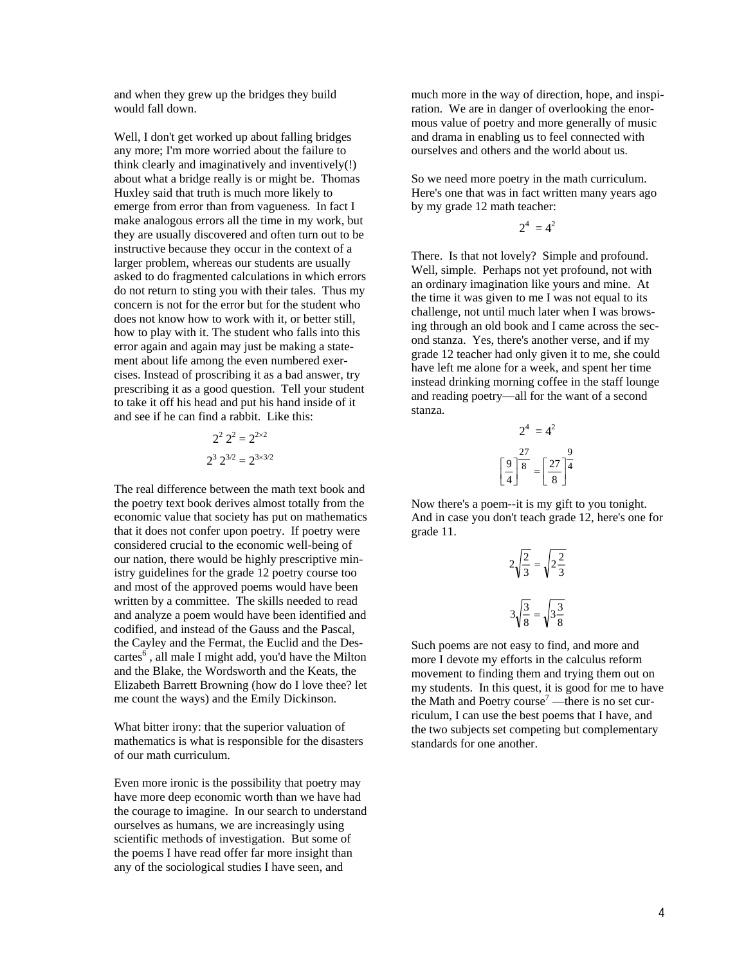and when they grew up the bridges they build would fall down.

Well, I don't get worked up about falling bridges any more; I'm more worried about the failure to think clearly and imaginatively and inventively(!) about what a bridge really is or might be. Thomas Huxley said that truth is much more likely to emerge from error than from vagueness. In fact I make analogous errors all the time in my work, but they are usually discovered and often turn out to be instructive because they occur in the context of a larger problem, whereas our students are usually asked to do fragmented calculations in which errors do not return to sting you with their tales. Thus my concern is not for the error but for the student who does not know how to work with it, or better still, how to play with it. The student who falls into this error again and again may just be making a statement about life among the even numbered exercises. Instead of proscribing it as a bad answer, try prescribing it as a good question. Tell your student to take it off his head and put his hand inside of it and see if he can find a rabbit. Like this:

$$
22 22 = 22×2
$$

$$
23 23/2 = 23×3/2
$$

The real difference between the math text book and the poetry text book derives almost totally from the economic value that society has put on mathematics that it does not confer upon poetry. If poetry were considered crucial to the economic well-being of our nation, there would be highly prescriptive ministry guidelines for the grade 12 poetry course too and most of the approved poems would have been written by a committee. The skills needed to read and analyze a poem would have been identified and codified, and instead of the Gauss and the Pascal, the Cayley and the Fermat, the Euclid and the Descartes $\mathfrak{g}$ , all male I might add, you'd have the Milton and the Blake, the Wordsworth and the Keats, the Elizabeth Barrett Browning (how do I love thee? let me count the ways) and the Emily Dickinson.

What bitter irony: that the superior valuation of mathematics is what is responsible for the disasters of our math curriculum.

Even more ironic is the possibility that poetry may have more deep economic worth than we have had the courage to imagine. In our search to understand ourselves as humans, we are increasingly using scientific methods of investigation. But some of the poems I have read offer far more insight than any of the sociological studies I have seen, and

much more in the way of direction, hope, and inspiration. We are in danger of overlooking the enormous value of poetry and more generally of music and drama in enabling us to feel connected with ourselves and others and the world about us.

So we need more poetry in the math curriculum. Here's one that was in fact written many years ago by my grade 12 math teacher:

$$
2^4 = 4^2
$$

There. Is that not lovely? Simple and profound. Well, simple. Perhaps not yet profound, not with an ordinary imagination like yours and mine. At the time it was given to me I was not equal to its challenge, not until much later when I was browsing through an old book and I came across the second stanza. Yes, there's another verse, and if my grade 12 teacher had only given it to me, she could have left me alone for a week, and spent her time instead drinking morning coffee in the staff lounge and reading poetry––all for the want of a second stanza.

$$
24 = 42
$$

$$
\left[\frac{9}{4}\right]^{\frac{27}{8}} = \left[\frac{27}{8}\right]^{\frac{9}{4}}
$$

Now there's a poem--it is my gift to you tonight. And in case you don't teach grade 12, here's one for grade 11.

$$
2\sqrt{\frac{2}{3}} = \sqrt{2\frac{2}{3}}
$$

$$
3\sqrt{\frac{3}{8}} = \sqrt{3\frac{3}{8}}
$$

Such poems are not easy to find, and more and more I devote my efforts in the calculus reform movement to finding them and trying them out on my students. In this quest, it is good for me to have the Math and Poetry course<sup>7</sup> —there is no set curriculum, I can use the best poems that I have, and the two subjects set competing but complementary standards for one another.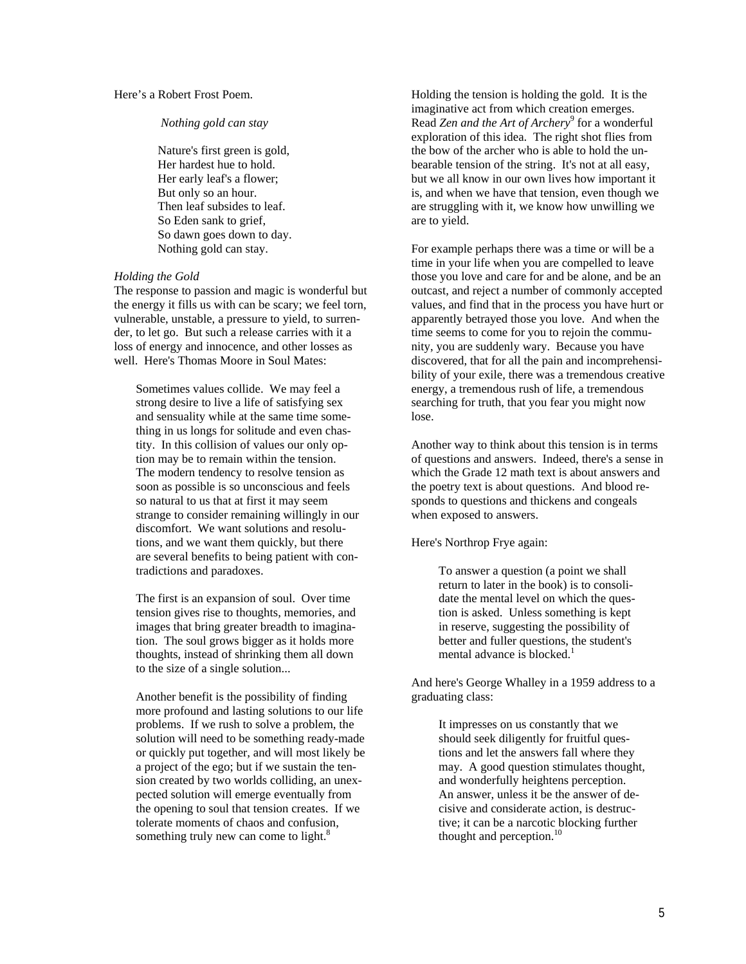# Here's a Robert Frost Poem.

### *Nothing gold can stay*

Nature's first green is gold, Her hardest hue to hold. Her early leaf's a flower; But only so an hour. Then leaf subsides to leaf. So Eden sank to grief, So dawn goes down to day. Nothing gold can stay.

## *Holding the Gold*

The response to passion and magic is wonderful but the energy it fills us with can be scary; we feel torn, vulnerable, unstable, a pressure to yield, to surrender, to let go. But such a release carries with it a loss of energy and innocence, and other losses as well. Here's Thomas Moore in Soul Mates:

Sometimes values collide. We may feel a strong desire to live a life of satisfying sex and sensuality while at the same time something in us longs for solitude and even chastity. In this collision of values our only option may be to remain within the tension. The modern tendency to resolve tension as soon as possible is so unconscious and feels so natural to us that at first it may seem strange to consider remaining willingly in our discomfort. We want solutions and resolutions, and we want them quickly, but there are several benefits to being patient with contradictions and paradoxes.

The first is an expansion of soul. Over time tension gives rise to thoughts, memories, and images that bring greater breadth to imagination. The soul grows bigger as it holds more thoughts, instead of shrinking them all down to the size of a single solution...

Another benefit is the possibility of finding more profound and lasting solutions to our life problems. If we rush to solve a problem, the solution will need to be something ready-made or quickly put together, and will most likely be a project of the ego; but if we sustain the tension created by two worlds colliding, an unexpected solution will emerge eventually from the opening to soul that tension creates. If we tolerate moments of chaos and confusion, something truly new can come to light. $8$ 

Holding the tension is holding the gold. It is the imaginative act from which creation emerges. Read *Zen and the Art of Archery*<sup>9</sup> for a wonderful exploration of this idea. The right shot flies from the bow of the archer who is able to hold the unbearable tension of the string. It's not at all easy, but we all know in our own lives how important it is, and when we have that tension, even though we are struggling with it, we know how unwilling we are to yield.

For example perhaps there was a time or will be a time in your life when you are compelled to leave those you love and care for and be alone, and be an outcast, and reject a number of commonly accepted values, and find that in the process you have hurt or apparently betrayed those you love. And when the time seems to come for you to rejoin the community, you are suddenly wary. Because you have discovered, that for all the pain and incomprehensibility of your exile, there was a tremendous creative energy, a tremendous rush of life, a tremendous searching for truth, that you fear you might now lose.

Another way to think about this tension is in terms of questions and answers. Indeed, there's a sense in which the Grade 12 math text is about answers and the poetry text is about questions. And blood responds to questions and thickens and congeals when exposed to answers.

### Here's Northrop Frye again:

To answer a question (a point we shall return to later in the book) is to consolidate the mental level on which the question is asked. Unless something is kept in reserve, suggesting the possibility of better and fuller questions, the student's mental advance is blocked.<sup>1</sup>

And here's George Whalley in a 1959 address to a graduating class:

> It impresses on us constantly that we should seek diligently for fruitful questions and let the answers fall where they may. A good question stimulates thought, and wonderfully heightens perception. An answer, unless it be the answer of decisive and considerate action, is destructive; it can be a narcotic blocking further thought and perception.<sup>10</sup>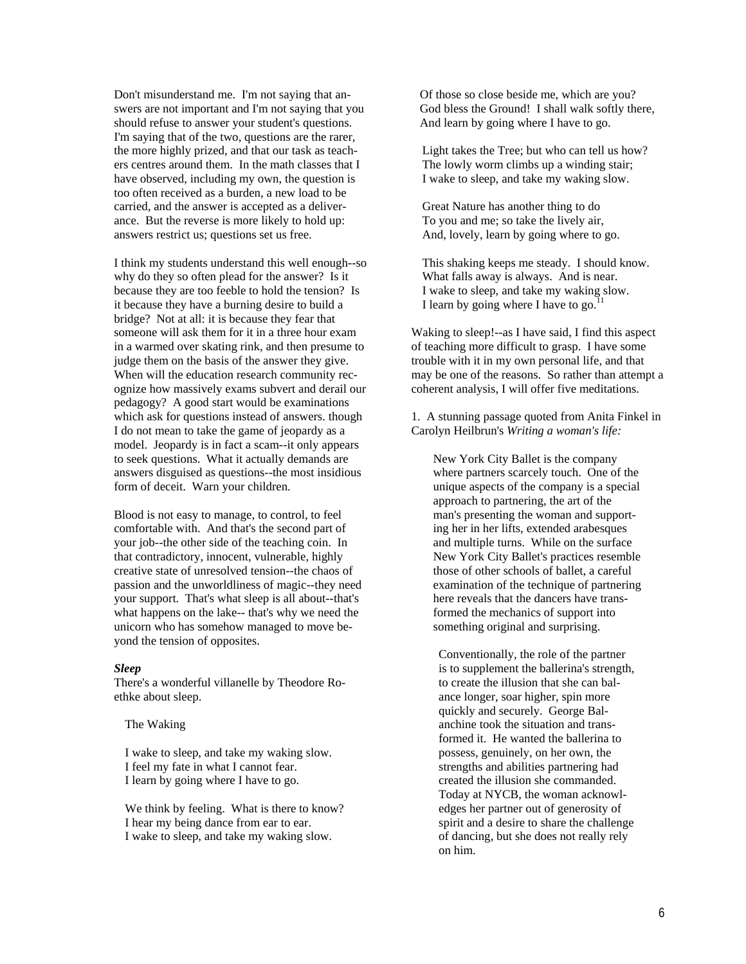Don't misunderstand me. I'm not saying that answers are not important and I'm not saying that you should refuse to answer your student's questions. I'm saying that of the two, questions are the rarer, the more highly prized, and that our task as teachers centres around them. In the math classes that I have observed, including my own, the question is too often received as a burden, a new load to be carried, and the answer is accepted as a deliverance. But the reverse is more likely to hold up: answers restrict us; questions set us free.

I think my students understand this well enough--so why do they so often plead for the answer? Is it because they are too feeble to hold the tension? Is it because they have a burning desire to build a bridge? Not at all: it is because they fear that someone will ask them for it in a three hour exam in a warmed over skating rink, and then presume to judge them on the basis of the answer they give. When will the education research community recognize how massively exams subvert and derail our pedagogy? A good start would be examinations which ask for questions instead of answers. though I do not mean to take the game of jeopardy as a model. Jeopardy is in fact a scam--it only appears to seek questions. What it actually demands are answers disguised as questions--the most insidious form of deceit. Warn your children.

Blood is not easy to manage, to control, to feel comfortable with. And that's the second part of your job--the other side of the teaching coin. In that contradictory, innocent, vulnerable, highly creative state of unresolved tension--the chaos of passion and the unworldliness of magic--they need your support. That's what sleep is all about--that's what happens on the lake-- that's why we need the unicorn who has somehow managed to move beyond the tension of opposites.

## *Sleep*

There's a wonderful villanelle by Theodore Roethke about sleep.

The Waking

I wake to sleep, and take my waking slow. I feel my fate in what I cannot fear. I learn by going where I have to go.

We think by feeling. What is there to know? I hear my being dance from ear to ear. I wake to sleep, and take my waking slow.

 Of those so close beside me, which are you? God bless the Ground! I shall walk softly there, And learn by going where I have to go.

Light takes the Tree; but who can tell us how? The lowly worm climbs up a winding stair; I wake to sleep, and take my waking slow.

Great Nature has another thing to do To you and me; so take the lively air, And, lovely, learn by going where to go.

This shaking keeps me steady. I should know. What falls away is always. And is near. I wake to sleep, and take my waking slow. I learn by going where I have to go.<sup>11</sup>

Waking to sleep!--as I have said, I find this aspect of teaching more difficult to grasp. I have some trouble with it in my own personal life, and that may be one of the reasons. So rather than attempt a coherent analysis, I will offer five meditations.

1. A stunning passage quoted from Anita Finkel in Carolyn Heilbrun's *Writing a woman's life:*

New York City Ballet is the company where partners scarcely touch. One of the unique aspects of the company is a special approach to partnering, the art of the man's presenting the woman and supporting her in her lifts, extended arabesques and multiple turns. While on the surface New York City Ballet's practices resemble those of other schools of ballet, a careful examination of the technique of partnering here reveals that the dancers have transformed the mechanics of support into something original and surprising.

Conventionally, the role of the partner is to supplement the ballerina's strength, to create the illusion that she can balance longer, soar higher, spin more quickly and securely. George Balanchine took the situation and transformed it. He wanted the ballerina to possess, genuinely, on her own, the strengths and abilities partnering had created the illusion she commanded. Today at NYCB, the woman acknowledges her partner out of generosity of spirit and a desire to share the challenge of dancing, but she does not really rely on him.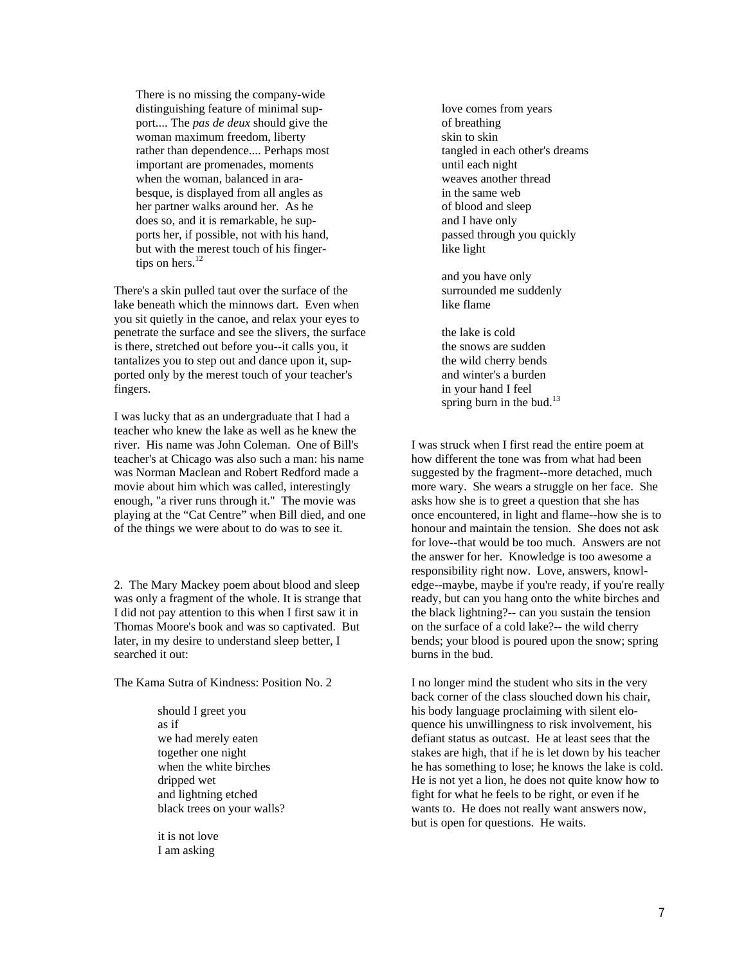There is no missing the company-wide distinguishing feature of minimal support.... The *pas de deux* should give the woman maximum freedom, liberty rather than dependence.... Perhaps most important are promenades, moments when the woman, balanced in arabesque, is displayed from all angles as her partner walks around her. As he does so, and it is remarkable, he supports her, if possible, not with his hand, but with the merest touch of his fingertips on hers.<sup>12</sup>

There's a skin pulled taut over the surface of the lake beneath which the minnows dart. Even when you sit quietly in the canoe, and relax your eyes to penetrate the surface and see the slivers, the surface is there, stretched out before you--it calls you, it tantalizes you to step out and dance upon it, supported only by the merest touch of your teacher's fingers.

I was lucky that as an undergraduate that I had a teacher who knew the lake as well as he knew the river. His name was John Coleman. One of Bill's teacher's at Chicago was also such a man: his name was Norman Maclean and Robert Redford made a movie about him which was called, interestingly enough, "a river runs through it." The movie was playing at the "Cat Centre" when Bill died, and one of the things we were about to do was to see it.

2. The Mary Mackey poem about blood and sleep was only a fragment of the whole. It is strange that I did not pay attention to this when I first saw it in Thomas Moore's book and was so captivated. But later, in my desire to understand sleep better, I searched it out:

The Kama Sutra of Kindness: Position No. 2

should I greet you as if we had merely eaten together one night when the white birches dripped wet and lightning etched black trees on your walls?

it is not love I am asking

 love comes from years of breathing skin to skin tangled in each other's dreams until each night weaves another thread in the same web of blood and sleep and I have only passed through you quickly like light

 and you have only surrounded me suddenly like flame

 the lake is cold the snows are sudden the wild cherry bends and winter's a burden in your hand I feel spring burn in the bud.<sup>13</sup>

I was struck when I first read the entire poem at how different the tone was from what had been suggested by the fragment--more detached, much more wary. She wears a struggle on her face. She asks how she is to greet a question that she has once encountered, in light and flame--how she is to honour and maintain the tension. She does not ask for love--that would be too much. Answers are not the answer for her. Knowledge is too awesome a responsibility right now. Love, answers, knowledge--maybe, maybe if you're ready, if you're really ready, but can you hang onto the white birches and the black lightning?-- can you sustain the tension on the surface of a cold lake?-- the wild cherry bends; your blood is poured upon the snow; spring burns in the bud.

I no longer mind the student who sits in the very back corner of the class slouched down his chair, his body language proclaiming with silent eloquence his unwillingness to risk involvement, his defiant status as outcast. He at least sees that the stakes are high, that if he is let down by his teacher he has something to lose; he knows the lake is cold. He is not yet a lion, he does not quite know how to fight for what he feels to be right, or even if he wants to. He does not really want answers now, but is open for questions. He waits.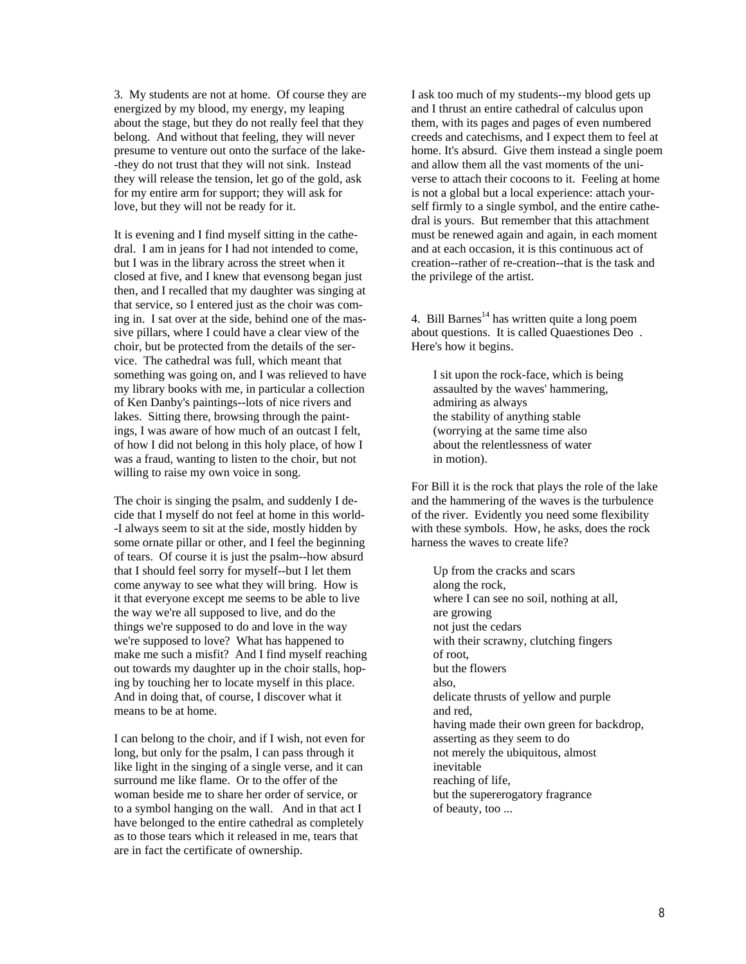3. My students are not at home. Of course they are energized by my blood, my energy, my leaping about the stage, but they do not really feel that they belong. And without that feeling, they will never presume to venture out onto the surface of the lake- -they do not trust that they will not sink. Instead they will release the tension, let go of the gold, ask for my entire arm for support; they will ask for love, but they will not be ready for it.

It is evening and I find myself sitting in the cathedral. I am in jeans for I had not intended to come, but I was in the library across the street when it closed at five, and I knew that evensong began just then, and I recalled that my daughter was singing at that service, so I entered just as the choir was coming in. I sat over at the side, behind one of the massive pillars, where I could have a clear view of the choir, but be protected from the details of the service. The cathedral was full, which meant that something was going on, and I was relieved to have my library books with me, in particular a collection of Ken Danby's paintings--lots of nice rivers and lakes. Sitting there, browsing through the paintings, I was aware of how much of an outcast I felt, of how I did not belong in this holy place, of how I was a fraud, wanting to listen to the choir, but not willing to raise my own voice in song.

The choir is singing the psalm, and suddenly I decide that I myself do not feel at home in this world- -I always seem to sit at the side, mostly hidden by some ornate pillar or other, and I feel the beginning of tears. Of course it is just the psalm--how absurd that I should feel sorry for myself--but I let them come anyway to see what they will bring. How is it that everyone except me seems to be able to live the way we're all supposed to live, and do the things we're supposed to do and love in the way we're supposed to love? What has happened to make me such a misfit? And I find myself reaching out towards my daughter up in the choir stalls, hoping by touching her to locate myself in this place. And in doing that, of course, I discover what it means to be at home.

I can belong to the choir, and if I wish, not even for long, but only for the psalm, I can pass through it like light in the singing of a single verse, and it can surround me like flame. Or to the offer of the woman beside me to share her order of service, or to a symbol hanging on the wall. And in that act I have belonged to the entire cathedral as completely as to those tears which it released in me, tears that are in fact the certificate of ownership.

I ask too much of my students--my blood gets up and I thrust an entire cathedral of calculus upon them, with its pages and pages of even numbered creeds and catechisms, and I expect them to feel at home. It's absurd. Give them instead a single poem and allow them all the vast moments of the universe to attach their cocoons to it. Feeling at home is not a global but a local experience: attach yourself firmly to a single symbol, and the entire cathedral is yours. But remember that this attachment must be renewed again and again, in each moment and at each occasion, it is this continuous act of creation--rather of re-creation--that is the task and the privilege of the artist.

4. Bill Barnes<sup>14</sup> has written quite a long poem about questions. It is called Quaestiones Deo . Here's how it begins.

I sit upon the rock-face, which is being assaulted by the waves' hammering, admiring as always the stability of anything stable (worrying at the same time also about the relentlessness of water in motion).

For Bill it is the rock that plays the role of the lake and the hammering of the waves is the turbulence of the river. Evidently you need some flexibility with these symbols. How, he asks, does the rock harness the waves to create life?

Up from the cracks and scars along the rock, where I can see no soil, nothing at all, are growing not just the cedars with their scrawny, clutching fingers of root, but the flowers also, delicate thrusts of yellow and purple and red, having made their own green for backdrop, asserting as they seem to do not merely the ubiquitous, almost inevitable reaching of life, but the supererogatory fragrance of beauty, too ...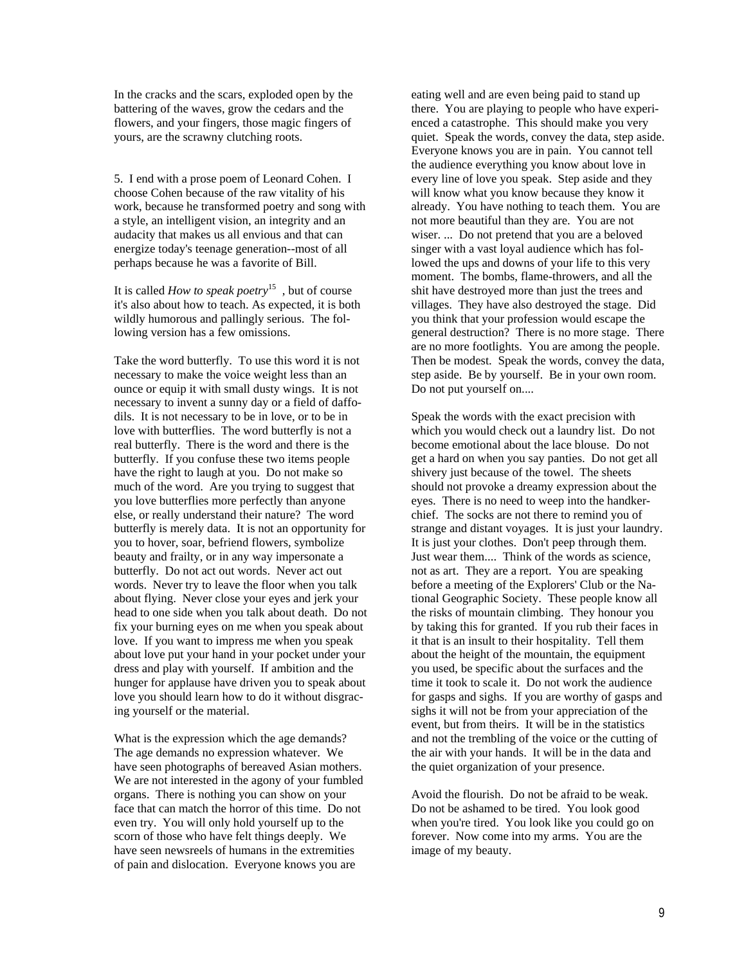In the cracks and the scars, exploded open by the battering of the waves, grow the cedars and the flowers, and your fingers, those magic fingers of yours, are the scrawny clutching roots.

5. I end with a prose poem of Leonard Cohen. I choose Cohen because of the raw vitality of his work, because he transformed poetry and song with a style, an intelligent vision, an integrity and an audacity that makes us all envious and that can energize today's teenage generation--most of all perhaps because he was a favorite of Bill.

It is called *How to speak poetry* 15 , but of course it's also about how to teach. As expected, it is both wildly humorous and pallingly serious. The following version has a few omissions.

Take the word butterfly. To use this word it is not necessary to make the voice weight less than an ounce or equip it with small dusty wings. It is not necessary to invent a sunny day or a field of daffodils. It is not necessary to be in love, or to be in love with butterflies. The word butterfly is not a real butterfly. There is the word and there is the butterfly. If you confuse these two items people have the right to laugh at you. Do not make so much of the word. Are you trying to suggest that you love butterflies more perfectly than anyone else, or really understand their nature? The word butterfly is merely data. It is not an opportunity for you to hover, soar, befriend flowers, symbolize beauty and frailty, or in any way impersonate a butterfly. Do not act out words. Never act out words. Never try to leave the floor when you talk about flying. Never close your eyes and jerk your head to one side when you talk about death. Do not fix your burning eyes on me when you speak about love. If you want to impress me when you speak about love put your hand in your pocket under your dress and play with yourself. If ambition and the hunger for applause have driven you to speak about love you should learn how to do it without disgracing yourself or the material.

What is the expression which the age demands? The age demands no expression whatever. We have seen photographs of bereaved Asian mothers. We are not interested in the agony of your fumbled organs. There is nothing you can show on your face that can match the horror of this time. Do not even try. You will only hold yourself up to the scorn of those who have felt things deeply. We have seen newsreels of humans in the extremities of pain and dislocation. Everyone knows you are

eating well and are even being paid to stand up there. You are playing to people who have experienced a catastrophe. This should make you very quiet. Speak the words, convey the data, step aside. Everyone knows you are in pain. You cannot tell the audience everything you know about love in every line of love you speak. Step aside and they will know what you know because they know it already. You have nothing to teach them. You are not more beautiful than they are. You are not wiser. ... Do not pretend that you are a beloved singer with a vast loyal audience which has followed the ups and downs of your life to this very moment. The bombs, flame-throwers, and all the shit have destroyed more than just the trees and villages. They have also destroyed the stage. Did you think that your profession would escape the general destruction? There is no more stage. There are no more footlights. You are among the people. Then be modest. Speak the words, convey the data, step aside. Be by yourself. Be in your own room. Do not put yourself on....

Speak the words with the exact precision with which you would check out a laundry list. Do not become emotional about the lace blouse. Do not get a hard on when you say panties. Do not get all shivery just because of the towel. The sheets should not provoke a dreamy expression about the eyes. There is no need to weep into the handkerchief. The socks are not there to remind you of strange and distant voyages. It is just your laundry. It is just your clothes. Don't peep through them. Just wear them.... Think of the words as science, not as art. They are a report. You are speaking before a meeting of the Explorers' Club or the National Geographic Society. These people know all the risks of mountain climbing. They honour you by taking this for granted. If you rub their faces in it that is an insult to their hospitality. Tell them about the height of the mountain, the equipment you used, be specific about the surfaces and the time it took to scale it. Do not work the audience for gasps and sighs. If you are worthy of gasps and sighs it will not be from your appreciation of the event, but from theirs. It will be in the statistics and not the trembling of the voice or the cutting of the air with your hands. It will be in the data and the quiet organization of your presence.

Avoid the flourish. Do not be afraid to be weak. Do not be ashamed to be tired. You look good when you're tired. You look like you could go on forever. Now come into my arms. You are the image of my beauty.